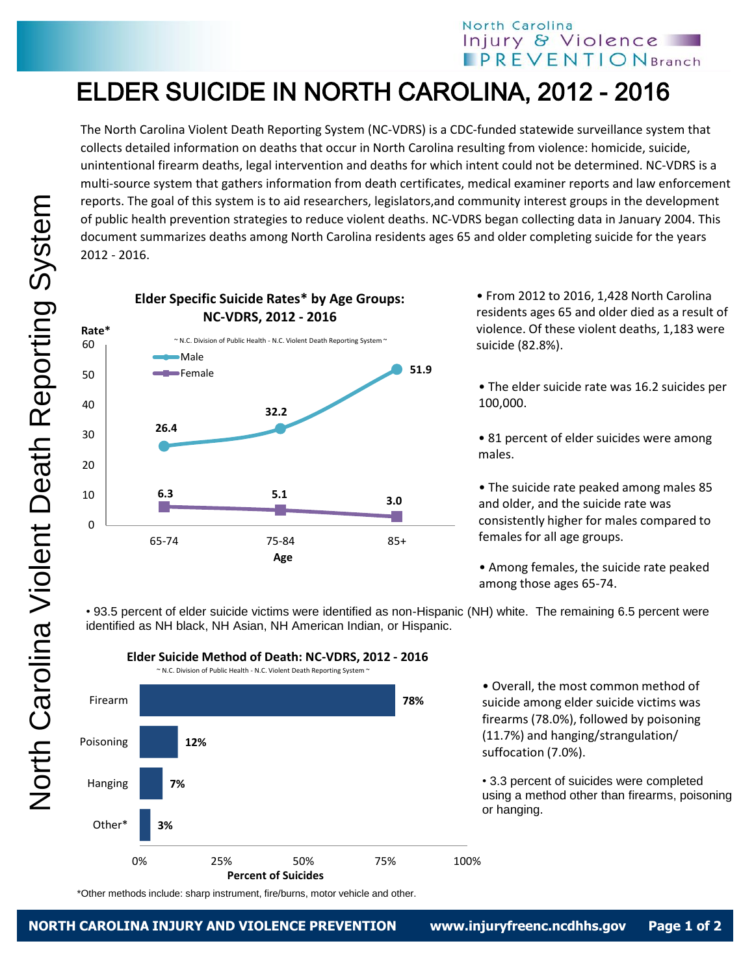## North Carolina Injury & Violence **IPREVENTIONBranch**

## ELDER SUICIDE IN NORTH CAROLINA, 2012 - 2016

The North Carolina Violent Death Reporting System (NC-VDRS) is a CDC-funded statewide surveillance system that collects detailed information on deaths that occur in North Carolina resulting from violence: homicide, suicide, unintentional firearm deaths, legal intervention and deaths for which intent could not be determined. NC-VDRS is a multi-source system that gathers information from death certificates, medical examiner reports and law enforcement reports. The goal of this system is to aid researchers, legislators,and community interest groups in the development of public health prevention strategies to reduce violent deaths. NC-VDRS began collecting data in January 2004. This document summarizes deaths among North Carolina residents ages 65 and older completing suicide for the years 2012 - 2016.



• From 2012 to 2016, 1,428 North Carolina residents ages 65 and older died as a result of violence. Of these violent deaths, 1,183 were suicide (82.8%).

• The elder suicide rate was 16.2 suicides per 100,000.

• 81 percent of elder suicides were among males.

• The suicide rate peaked among males 85 and older, and the suicide rate was consistently higher for males compared to females for all age groups.

• Among females, the suicide rate peaked among those ages 65-74.

• 93.5 percent of elder suicide victims were identified as non-Hispanic (NH) white. The remaining 6.5 percent were identified as NH black, NH Asian, NH American Indian, or Hispanic.



**Elder Suicide Method of Death: NC-VDRS, 2012 - 2016**

• Overall, the most common method of suicide among elder suicide victims was firearms (78.0%), followed by poisoning (11.7%) and hanging/strangulation/ suffocation (7.0%).

• 3.3 percent of suicides were completed using a method other than firearms, poisoning or hanging.

\*Other methods include: sharp instrument, fire/burns, motor vehicle and other.